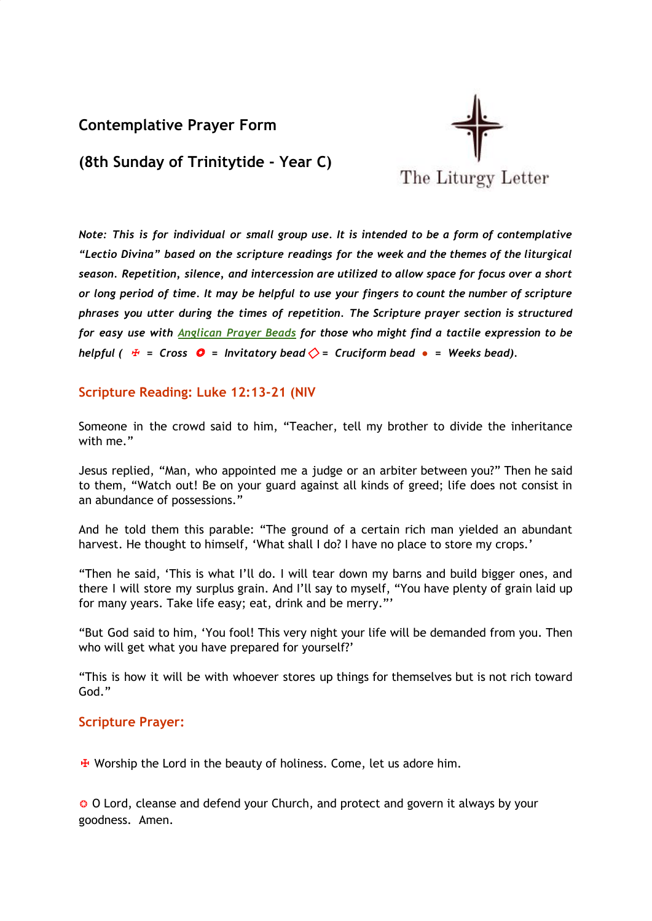# **Contemplative Prayer Form**



**(8th Sunday of Trinitytide - Year C)**

*Note: This is for individual or small group use. It is intended to be a form of contemplative "Lectio Divina" based on the scripture readings for the week and the themes of the liturgical season. Repetition, silence, and intercession are utilized to allow space for focus over a short* or long period of time. It may be helpful to use your fingers to count the number of scripture *phrases you utter during the times of repetition. The Scripture prayer section is structured for easy use with [Anglican](http://kingofpeace.org/images/prayerbeaddiagram.JPG) Prayer Beads for those who might find a tactile expression to be helpful*  $\left(\begin{array}{r} \n\frac{1}{2} \neq 0.5$  *C* = *Invitatory bead*  $\Diamond = 0.5$  *Cruciform bead*  $\bullet = 0$  *Weeks bead*).

# **Scripture Reading: Luke 12:13-21 (NIV**

Someone in the crowd said to him, "Teacher, tell my brother to divide the inheritance with me."

Jesus replied, "Man, who appointed me a judge or an arbiter between you?" Then he said to them, "Watch out! Be on your guard against all kinds of greed; life does not consist in an abundance of possessions."

And he told them this parable: "The ground of a certain rich man yielded an abundant harvest. He thought to himself, 'What shall I do? I have no place to store my crops.'

"Then he said, 'This is what I'll do. I will tear down my barns and build bigger ones, and there I will store my surplus grain. And I'll say to myself, "You have plenty of grain laid up for many years. Take life easy; eat, drink and be merry."'

"But God said to him, 'You fool! This very night your life will be demanded from you. Then who will get what you have prepared for yourself?'

"This is how it will be with whoever stores up things for themselves but is not rich toward God."

# **Scripture Prayer:**

 $\overline{\textbf{H}}$  Worship the Lord in the beauty of holiness. Come, let us adore him.

❂ O Lord, cleanse and defend your Church, and protect and govern it always by your goodness. Amen.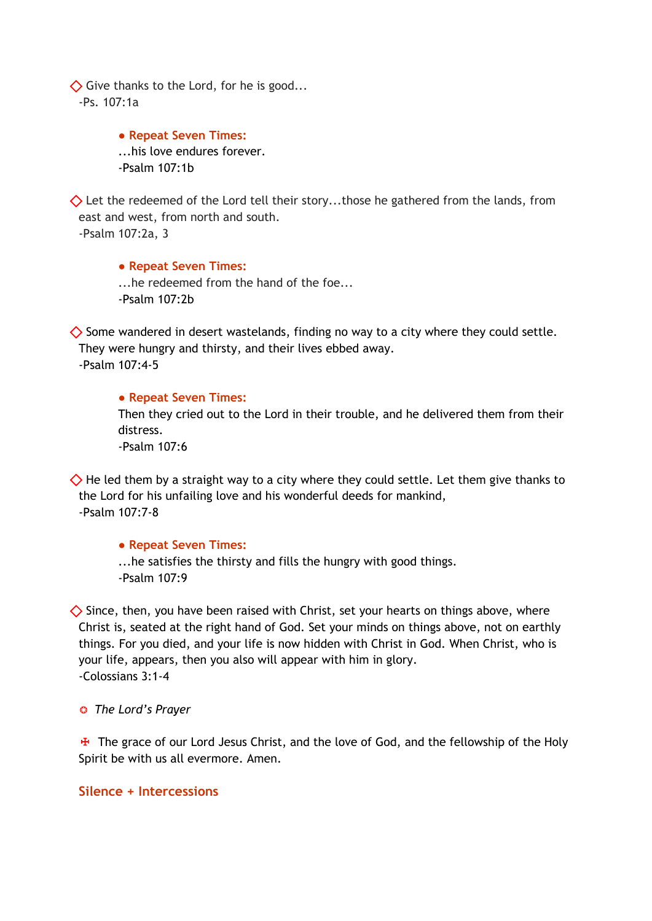$\diamondsuit$  Give thanks to the Lord, for he is good... -Ps. 107:1a

> **● Repeat Seven Times:** ...his love endures forever. -Psalm 107:1b

 $\diamondsuit$  Let the redeemed of the Lord tell their story...those he gathered from the lands, from east and west, from north and south. -Psalm 107:2a, 3

**● Repeat Seven Times:** ...he redeemed from the hand of the foe... -Psalm 107:2b

 $\diamondsuit$  Some wandered in desert wastelands, finding no way to a city where they could settle. They were hungry and thirsty, and their lives ebbed away. -Psalm 107:4-5

**● Repeat Seven Times:**

Then they cried out to the Lord in their trouble, and he delivered them from their distress.

 $-$ Psalm 107 $\cdot$ 6

 $\Diamond$  He led them by a straight way to a city where they could settle. Let them give thanks to the Lord for his unfailing love and his wonderful deeds for mankind, -Psalm 107:7-8

### **● Repeat Seven Times:**

...he satisfies the thirsty and fills the hungry with good things. -Psalm 107:9

 $\diamondsuit$  Since, then, you have been raised with Christ, set your hearts on things above, where Christ is, seated at the right hand of God. Set your minds on things above, not on earthly things. For you died, and your life is now hidden with Christ in God. When Christ, who is your life, appears, then you also will appear with him in glory. -Colossians 3:1-4

### ❂ *The Lord's Prayer*

 $\mathbf{\ddot{F}}$  The grace of our Lord Jesus Christ, and the love of God, and the fellowship of the Holy Spirit be with us all evermore. Amen.

### **Silence + Intercessions**